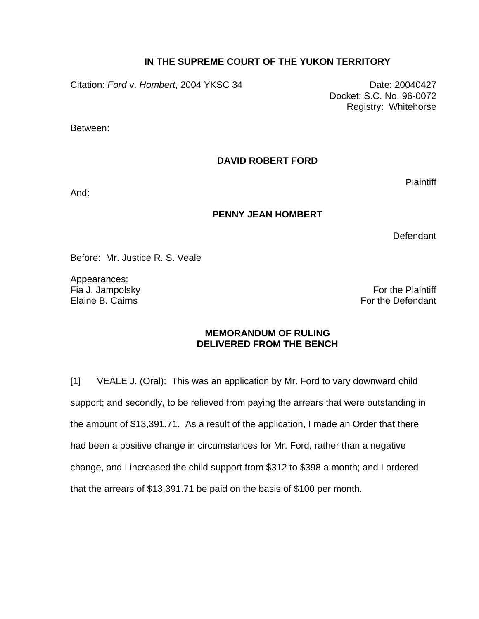## **IN THE SUPREME COURT OF THE YUKON TERRITORY**

Citation: *Ford v. Hombert*, 2004 YKSC 34 Date: 20040427

 Docket: S.C. No. 96-0072 Registry: Whitehorse

Between:

**DAVID ROBERT FORD** 

**Plaintiff** 

And:

## **PENNY JEAN HOMBERT**

Defendant

Before: Mr. Justice R. S. Veale

Appearances:

Fia J. Jampolsky **Fig. 1. In the Plaintiff** Section 1. The Plaintiff Section 1. The Plaintiff Section 1. The Plaintiff Section 1. The Plaintiff Section 1. The Plaintiff Section 1. The Plaintiff Section 1. The Plaintiff Sec Elaine B. Cairns For the Defendant

## **MEMORANDUM OF RULING DELIVERED FROM THE BENCH**

[1] VEALE J. (Oral): This was an application by Mr. Ford to vary downward child support; and secondly, to be relieved from paying the arrears that were outstanding in the amount of \$13,391.71. As a result of the application, I made an Order that there had been a positive change in circumstances for Mr. Ford, rather than a negative change, and I increased the child support from \$312 to \$398 a month; and I ordered that the arrears of \$13,391.71 be paid on the basis of \$100 per month.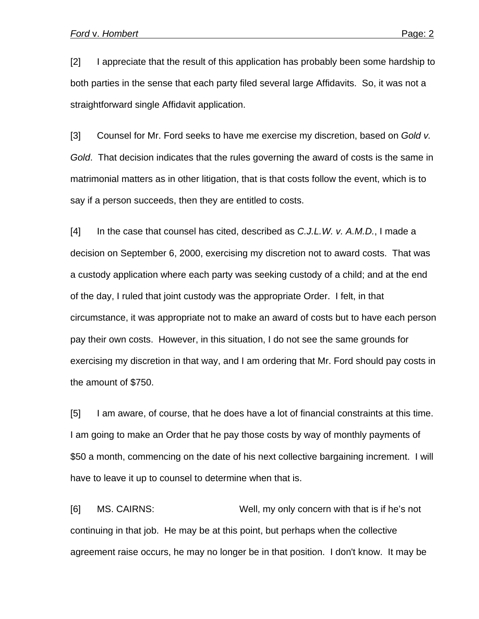[2] I appreciate that the result of this application has probably been some hardship to both parties in the sense that each party filed several large Affidavits. So, it was not a straightforward single Affidavit application.

[3] Counsel for Mr. Ford seeks to have me exercise my discretion, based on *Gold v. Gold*. That decision indicates that the rules governing the award of costs is the same in matrimonial matters as in other litigation, that is that costs follow the event, which is to say if a person succeeds, then they are entitled to costs.

[4] In the case that counsel has cited, described as *C.J.L.W. v. A.M.D.*, I made a decision on September 6, 2000, exercising my discretion not to award costs. That was a custody application where each party was seeking custody of a child; and at the end of the day, I ruled that joint custody was the appropriate Order. I felt, in that circumstance, it was appropriate not to make an award of costs but to have each person pay their own costs. However, in this situation, I do not see the same grounds for exercising my discretion in that way, and I am ordering that Mr. Ford should pay costs in the amount of \$750.

[5] I am aware, of course, that he does have a lot of financial constraints at this time. I am going to make an Order that he pay those costs by way of monthly payments of \$50 a month, commencing on the date of his next collective bargaining increment. I will have to leave it up to counsel to determine when that is.

[6] MS. CAIRNS: Well, my only concern with that is if he's not continuing in that job. He may be at this point, but perhaps when the collective agreement raise occurs, he may no longer be in that position. I don't know. It may be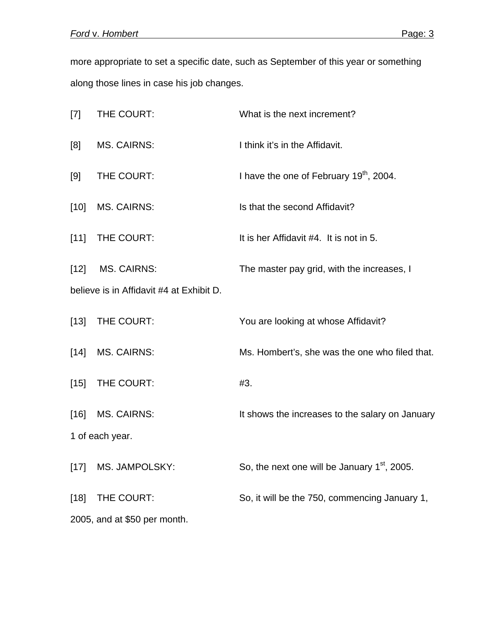more appropriate to set a specific date, such as September of this year or something along those lines in case his job changes.

| $[7]$                                    | THE COURT:         | What is the next increment?                         |
|------------------------------------------|--------------------|-----------------------------------------------------|
| [8]                                      | <b>MS. CAIRNS:</b> | I think it's in the Affidavit.                      |
| [9]                                      | THE COURT:         | I have the one of February 19 <sup>th</sup> , 2004. |
| $[10]$                                   | <b>MS. CAIRNS:</b> | Is that the second Affidavit?                       |
| [11]                                     | THE COURT:         | It is her Affidavit #4. It is not in 5.             |
| $[12]$                                   | <b>MS. CAIRNS:</b> | The master pay grid, with the increases, I          |
| believe is in Affidavit #4 at Exhibit D. |                    |                                                     |
| $[13]$                                   | THE COURT:         | You are looking at whose Affidavit?                 |
| $[14]$                                   | <b>MS. CAIRNS:</b> | Ms. Hombert's, she was the one who filed that.      |
| $[15]$                                   | THE COURT:         | #3.                                                 |
| $[16]$                                   | <b>MS. CAIRNS:</b> | It shows the increases to the salary on January     |
| 1 of each year.                          |                    |                                                     |
| $[17]$                                   | MS. JAMPOLSKY:     | So, the next one will be January $1st$ , 2005.      |
| $[18]$                                   | THE COURT:         | So, it will be the 750, commencing January 1,       |
| 2005, and at \$50 per month.             |                    |                                                     |